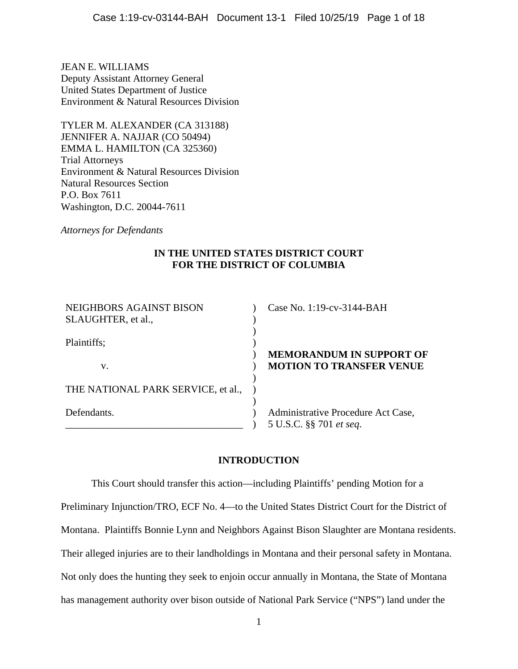JEAN E. WILLIAMS Deputy Assistant Attorney General United States Department of Justice Environment & Natural Resources Division

TYLER M. ALEXANDER (CA 313188) JENNIFER A. NAJJAR (CO 50494) EMMA L. HAMILTON (CA 325360) Trial Attorneys Environment & Natural Resources Division Natural Resources Section P.O. Box 7611 Washington, D.C. 20044-7611

*Attorneys for Defendants* 

# **IN THE UNITED STATES DISTRICT COURT FOR THE DISTRICT OF COLUMBIA**

| NEIGHBORS AGAINST BISON<br>SLAUGHTER, et al., | Case No. 1:19-cv-3144-BAH                                          |
|-----------------------------------------------|--------------------------------------------------------------------|
| Plaintiffs;                                   |                                                                    |
| v.                                            | <b>MEMORANDUM IN SUPPORT OF</b><br><b>MOTION TO TRANSFER VENUE</b> |
| THE NATIONAL PARK SERVICE, et al.,            |                                                                    |
| Defendants.                                   | Administrative Procedure Act Case,<br>5 U.S.C. §§ 701 et seq.      |

# **INTRODUCTION**

This Court should transfer this action—including Plaintiffs' pending Motion for a Preliminary Injunction/TRO, ECF No. 4—to the United States District Court for the District of Montana. Plaintiffs Bonnie Lynn and Neighbors Against Bison Slaughter are Montana residents. Their alleged injuries are to their landholdings in Montana and their personal safety in Montana. Not only does the hunting they seek to enjoin occur annually in Montana, the State of Montana has management authority over bison outside of National Park Service ("NPS") land under the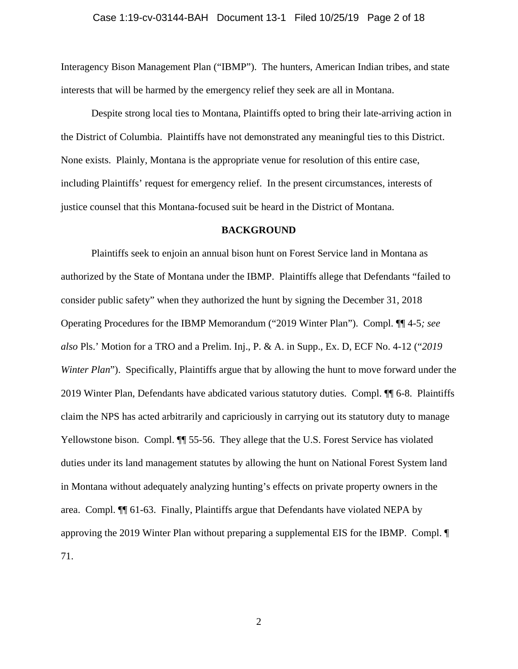#### Case 1:19-cv-03144-BAH Document 13-1 Filed 10/25/19 Page 2 of 18

Interagency Bison Management Plan ("IBMP"). The hunters, American Indian tribes, and state interests that will be harmed by the emergency relief they seek are all in Montana.

Despite strong local ties to Montana, Plaintiffs opted to bring their late-arriving action in the District of Columbia. Plaintiffs have not demonstrated any meaningful ties to this District. None exists. Plainly, Montana is the appropriate venue for resolution of this entire case, including Plaintiffs' request for emergency relief. In the present circumstances, interests of justice counsel that this Montana-focused suit be heard in the District of Montana.

#### **BACKGROUND**

Plaintiffs seek to enjoin an annual bison hunt on Forest Service land in Montana as authorized by the State of Montana under the IBMP. Plaintiffs allege that Defendants "failed to consider public safety" when they authorized the hunt by signing the December 31, 2018 Operating Procedures for the IBMP Memorandum ("2019 Winter Plan"). Compl. ¶¶ 4-5*; see also* Pls.' Motion for a TRO and a Prelim. Inj., P. & A. in Supp., Ex. D, ECF No. 4-12 ("*2019 Winter Plan*"). Specifically, Plaintiffs argue that by allowing the hunt to move forward under the 2019 Winter Plan, Defendants have abdicated various statutory duties. Compl. ¶¶ 6-8. Plaintiffs claim the NPS has acted arbitrarily and capriciously in carrying out its statutory duty to manage Yellowstone bison. Compl.  $\P$  55-56. They allege that the U.S. Forest Service has violated duties under its land management statutes by allowing the hunt on National Forest System land in Montana without adequately analyzing hunting's effects on private property owners in the area. Compl. ¶¶ 61-63. Finally, Plaintiffs argue that Defendants have violated NEPA by approving the 2019 Winter Plan without preparing a supplemental EIS for the IBMP. Compl. ¶ 71.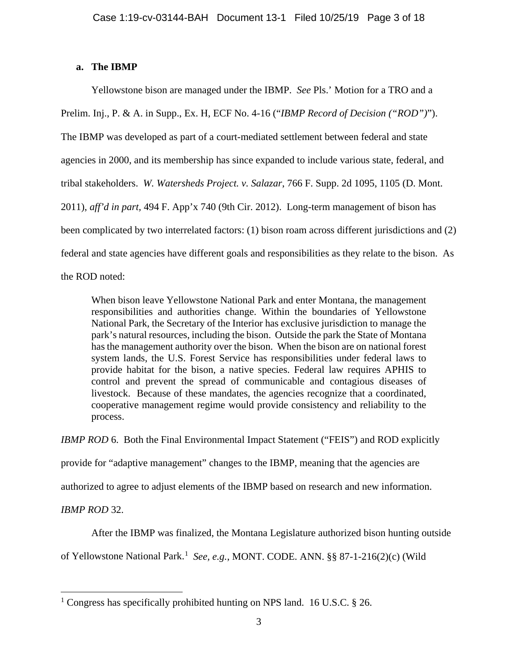## **a. The IBMP**

Yellowstone bison are managed under the IBMP. *See* Pls.' Motion for a TRO and a Prelim. Inj., P. & A. in Supp., Ex. H, ECF No. 4-16 ("*IBMP Record of Decision ("ROD")*"). The IBMP was developed as part of a court-mediated settlement between federal and state agencies in 2000, and its membership has since expanded to include various state, federal, and tribal stakeholders. *W. Watersheds Project. v. Salazar*, 766 F. Supp. 2d 1095, 1105 (D. Mont. 2011), *aff'd in part,* 494 F. App'x 740 (9th Cir. 2012). Long-term management of bison has been complicated by two interrelated factors: (1) bison roam across different jurisdictions and (2) federal and state agencies have different goals and responsibilities as they relate to the bison. As the ROD noted:

When bison leave Yellowstone National Park and enter Montana, the management responsibilities and authorities change. Within the boundaries of Yellowstone National Park, the Secretary of the Interior has exclusive jurisdiction to manage the park's natural resources, including the bison. Outside the park the State of Montana has the management authority over the bison. When the bison are on national forest system lands, the U.S. Forest Service has responsibilities under federal laws to provide habitat for the bison, a native species. Federal law requires APHIS to control and prevent the spread of communicable and contagious diseases of livestock. Because of these mandates, the agencies recognize that a coordinated, cooperative management regime would provide consistency and reliability to the process.

*IBMP ROD* 6. Both the Final Environmental Impact Statement ("FEIS") and ROD explicitly provide for "adaptive management" changes to the IBMP, meaning that the agencies are authorized to agree to adjust elements of the IBMP based on research and new information. *IBMP ROD* 32.

After the IBMP was finalized, the Montana Legislature authorized bison hunting outside

of Yellowstone National Park. [1](#page-2-0) *See, e.g.*, MONT. CODE. ANN. §§ 87-1-216(2)(c) (Wild

<span id="page-2-0"></span>l <sup>1</sup> Congress has specifically prohibited hunting on NPS land. 16 U.S.C. § 26.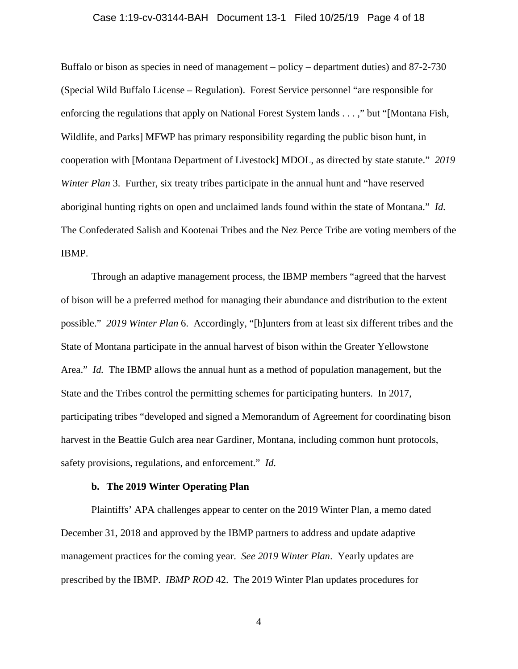### Case 1:19-cv-03144-BAH Document 13-1 Filed 10/25/19 Page 4 of 18

Buffalo or bison as species in need of management – policy – department duties) and 87-2-730 (Special Wild Buffalo License – Regulation). Forest Service personnel "are responsible for enforcing the regulations that apply on National Forest System lands . . . ," but "[Montana Fish, Wildlife, and Parks] MFWP has primary responsibility regarding the public bison hunt, in cooperation with [Montana Department of Livestock] MDOL, as directed by state statute." *2019 Winter Plan* 3. Further, six treaty tribes participate in the annual hunt and "have reserved" aboriginal hunting rights on open and unclaimed lands found within the state of Montana." *Id.*  The Confederated Salish and Kootenai Tribes and the Nez Perce Tribe are voting members of the IBMP.

Through an adaptive management process, the IBMP members "agreed that the harvest of bison will be a preferred method for managing their abundance and distribution to the extent possible." *2019 Winter Plan* 6. Accordingly, "[h]unters from at least six different tribes and the State of Montana participate in the annual harvest of bison within the Greater Yellowstone Area." *Id.* The IBMP allows the annual hunt as a method of population management, but the State and the Tribes control the permitting schemes for participating hunters. In 2017, participating tribes "developed and signed a Memorandum of Agreement for coordinating bison harvest in the Beattie Gulch area near Gardiner, Montana, including common hunt protocols, safety provisions, regulations, and enforcement." *Id.*

#### **b. The 2019 Winter Operating Plan**

Plaintiffs' APA challenges appear to center on the 2019 Winter Plan, a memo dated December 31, 2018 and approved by the IBMP partners to address and update adaptive management practices for the coming year. *See 2019 Winter Plan*. Yearly updates are prescribed by the IBMP. *IBMP ROD* 42. The 2019 Winter Plan updates procedures for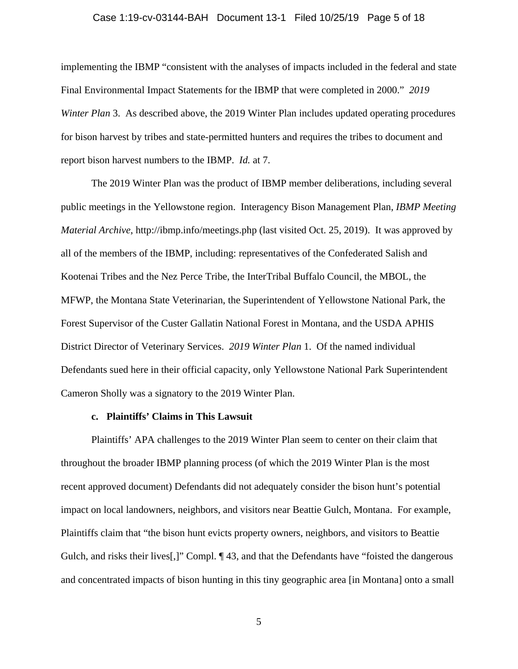### Case 1:19-cv-03144-BAH Document 13-1 Filed 10/25/19 Page 5 of 18

implementing the IBMP "consistent with the analyses of impacts included in the federal and state Final Environmental Impact Statements for the IBMP that were completed in 2000." *2019 Winter Plan* 3. As described above, the 2019 Winter Plan includes updated operating procedures for bison harvest by tribes and state-permitted hunters and requires the tribes to document and report bison harvest numbers to the IBMP. *Id.* at 7.

The 2019 Winter Plan was the product of IBMP member deliberations, including several public meetings in the Yellowstone region. Interagency Bison Management Plan, *IBMP Meeting Material Archive*, http://ibmp.info/meetings.php (last visited Oct. 25, 2019). It was approved by all of the members of the IBMP, including: representatives of the Confederated Salish and Kootenai Tribes and the Nez Perce Tribe, the InterTribal Buffalo Council, the MBOL, the MFWP, the Montana State Veterinarian, the Superintendent of Yellowstone National Park, the Forest Supervisor of the Custer Gallatin National Forest in Montana, and the USDA APHIS District Director of Veterinary Services. *2019 Winter Plan* 1. Of the named individual Defendants sued here in their official capacity, only Yellowstone National Park Superintendent Cameron Sholly was a signatory to the 2019 Winter Plan.

#### **c. Plaintiffs' Claims in This Lawsuit**

Plaintiffs' APA challenges to the 2019 Winter Plan seem to center on their claim that throughout the broader IBMP planning process (of which the 2019 Winter Plan is the most recent approved document) Defendants did not adequately consider the bison hunt's potential impact on local landowners, neighbors, and visitors near Beattie Gulch, Montana. For example, Plaintiffs claim that "the bison hunt evicts property owners, neighbors, and visitors to Beattie Gulch, and risks their lives[,]" Compl.  $\P$  43, and that the Defendants have "foisted the dangerous and concentrated impacts of bison hunting in this tiny geographic area [in Montana] onto a small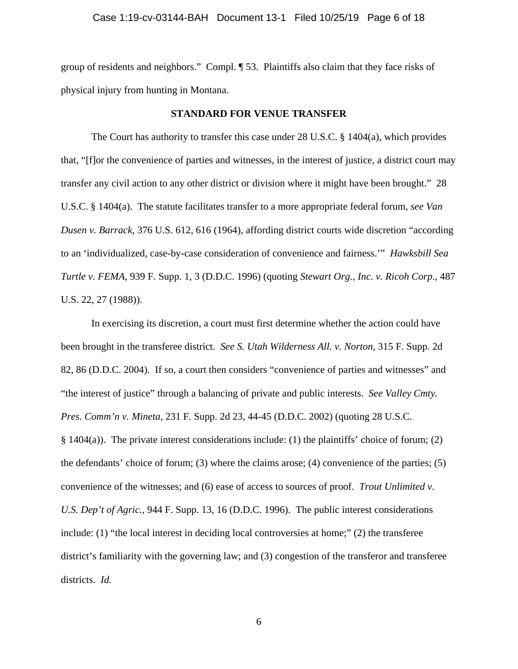group of residents and neighbors." Compl. ¶ 53. Plaintiffs also claim that they face risks of physical injury from hunting in Montana.

#### **STANDARD FOR VENUE TRANSFER**

The Court has authority to transfer this case under 28 U.S.C. § 1404(a), which provides that, "[f]or the convenience of parties and witnesses, in the interest of justice, a district court may transfer any civil action to any other district or division where it might have been brought." 28 U.S.C. § 1404(a). The statute facilitates transfer to a more appropriate federal forum, *see Van Dusen v. Barrack*, 376 U.S. 612, 616 (1964), affording district courts wide discretion "according to an 'individualized, case-by-case consideration of convenience and fairness.'" *Hawksbill Sea Turtle v. FEMA*, 939 F. Supp. 1, 3 (D.D.C. 1996) (quoting *Stewart Org., Inc. v. Ricoh Corp*., 487 U.S. 22, 27 (1988)).

In exercising its discretion, a court must first determine whether the action could have been brought in the transferee district. *See S. Utah Wilderness All. v. Norton*, 315 F. Supp. 2d 82, 86 (D.D.C. 2004). If so, a court then considers "convenience of parties and witnesses" and "the interest of justice" through a balancing of private and public interests. *See Valley Cmty. Pres. Comm'n v. Mineta*, 231 F. Supp. 2d 23, 44-45 (D.D.C. 2002) (quoting 28 U.S.C.  $§$  1404(a)). The private interest considerations include: (1) the plaintiffs' choice of forum; (2) the defendants' choice of forum; (3) where the claims arose; (4) convenience of the parties; (5) convenience of the witnesses; and (6) ease of access to sources of proof. *Trout Unlimited v. U.S. Dep't of Agric.*, 944 F. Supp. 13, 16 (D.D.C. 1996). The public interest considerations include: (1) "the local interest in deciding local controversies at home;" (2) the transferee district's familiarity with the governing law; and (3) congestion of the transferor and transferee districts. *Id.*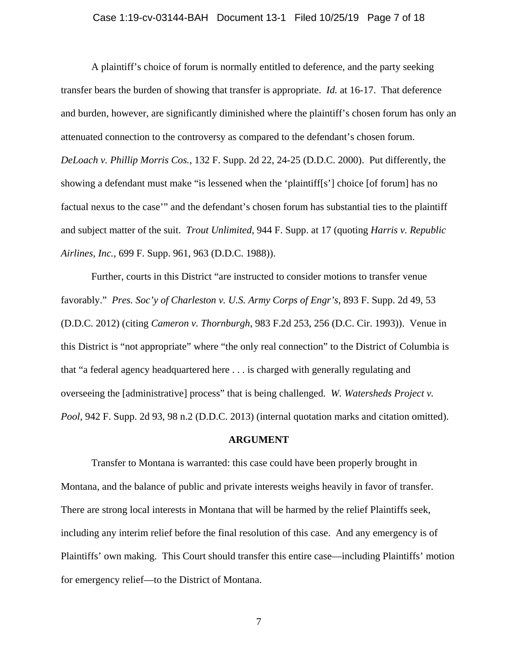### Case 1:19-cv-03144-BAH Document 13-1 Filed 10/25/19 Page 7 of 18

A plaintiff's choice of forum is normally entitled to deference, and the party seeking transfer bears the burden of showing that transfer is appropriate. *Id.* at 16-17. That deference and burden, however, are significantly diminished where the plaintiff's chosen forum has only an attenuated connection to the controversy as compared to the defendant's chosen forum. *DeLoach v. Phillip Morris Cos.*, 132 F. Supp. 2d 22, 24-25 (D.D.C. 2000). Put differently, the showing a defendant must make "is lessened when the 'plaintiff[s'] choice [of forum] has no factual nexus to the case'" and the defendant's chosen forum has substantial ties to the plaintiff and subject matter of the suit. *Trout Unlimited*, 944 F. Supp. at 17 (quoting *Harris v. Republic Airlines, Inc.*, 699 F. Supp. 961, 963 (D.D.C. 1988)).

Further, courts in this District "are instructed to consider motions to transfer venue favorably." *Pres. Soc'y of Charleston v. U.S. Army Corps of Engr's*, 893 F. Supp. 2d 49, 53 (D.D.C. 2012) (citing *Cameron v. Thornburgh*, 983 F.2d 253, 256 (D.C. Cir. 1993)). Venue in this District is "not appropriate" where "the only real connection" to the District of Columbia is that "a federal agency headquartered here . . . is charged with generally regulating and overseeing the [administrative] process" that is being challenged. *W. Watersheds Project v. Pool*, 942 F. Supp. 2d 93, 98 n.2 (D.D.C. 2013) (internal quotation marks and citation omitted).

#### **ARGUMENT**

Transfer to Montana is warranted: this case could have been properly brought in Montana, and the balance of public and private interests weighs heavily in favor of transfer. There are strong local interests in Montana that will be harmed by the relief Plaintiffs seek, including any interim relief before the final resolution of this case. And any emergency is of Plaintiffs' own making. This Court should transfer this entire case—including Plaintiffs' motion for emergency relief—to the District of Montana.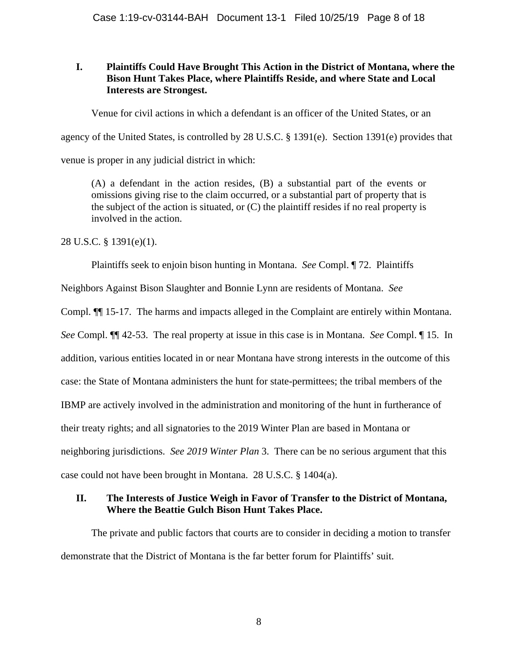## **I. Plaintiffs Could Have Brought This Action in the District of Montana, where the Bison Hunt Takes Place, where Plaintiffs Reside, and where State and Local Interests are Strongest.**

Venue for civil actions in which a defendant is an officer of the United States, or an

agency of the United States, is controlled by 28 U.S.C. § 1391(e). Section 1391(e) provides that

venue is proper in any judicial district in which:

(A) a defendant in the action resides, (B) a substantial part of the events or omissions giving rise to the claim occurred, or a substantial part of property that is the subject of the action is situated, or (C) the plaintiff resides if no real property is involved in the action.

28 U.S.C. § 1391(e)(1).

Plaintiffs seek to enjoin bison hunting in Montana. *See* Compl. ¶ 72. Plaintiffs

Neighbors Against Bison Slaughter and Bonnie Lynn are residents of Montana. *See* 

Compl. ¶¶ 15-17. The harms and impacts alleged in the Complaint are entirely within Montana.

*See* Compl. ¶¶ 42-53. The real property at issue in this case is in Montana. *See* Compl. ¶ 15. In

addition, various entities located in or near Montana have strong interests in the outcome of this

case: the State of Montana administers the hunt for state-permittees; the tribal members of the

IBMP are actively involved in the administration and monitoring of the hunt in furtherance of

their treaty rights; and all signatories to the 2019 Winter Plan are based in Montana or

neighboring jurisdictions. *See 2019 Winter Plan* 3. There can be no serious argument that this

case could not have been brought in Montana. 28 U.S.C. § 1404(a).

## **II. The Interests of Justice Weigh in Favor of Transfer to the District of Montana, Where the Beattie Gulch Bison Hunt Takes Place.**

The private and public factors that courts are to consider in deciding a motion to transfer demonstrate that the District of Montana is the far better forum for Plaintiffs' suit.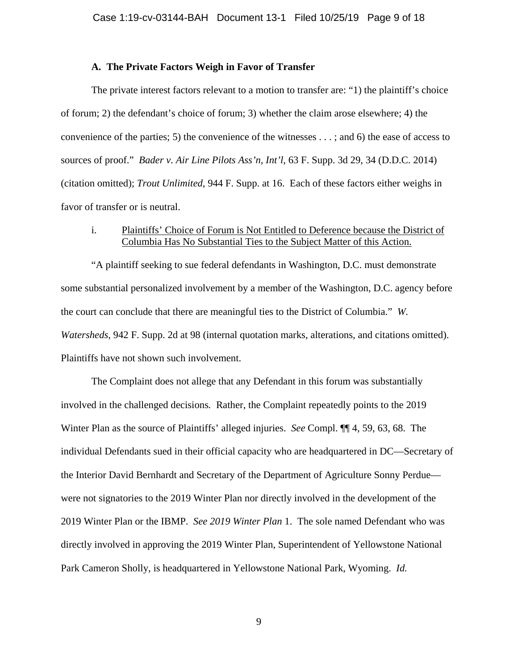### **A. The Private Factors Weigh in Favor of Transfer**

The private interest factors relevant to a motion to transfer are: "1) the plaintiff's choice of forum; 2) the defendant's choice of forum; 3) whether the claim arose elsewhere; 4) the convenience of the parties; 5) the convenience of the witnesses . . . ; and 6) the ease of access to sources of proof." *Bader v. Air Line Pilots Ass'n, Int'l*, 63 F. Supp. 3d 29, 34 (D.D.C. 2014) (citation omitted); *Trout Unlimited*, 944 F. Supp. at 16. Each of these factors either weighs in favor of transfer or is neutral.

## i. Plaintiffs' Choice of Forum is Not Entitled to Deference because the District of Columbia Has No Substantial Ties to the Subject Matter of this Action.

"A plaintiff seeking to sue federal defendants in Washington, D.C. must demonstrate some substantial personalized involvement by a member of the Washington, D.C. agency before the court can conclude that there are meaningful ties to the District of Columbia." *W. Watersheds*, 942 F. Supp. 2d at 98 (internal quotation marks, alterations, and citations omitted). Plaintiffs have not shown such involvement.

The Complaint does not allege that any Defendant in this forum was substantially involved in the challenged decisions*.* Rather, the Complaint repeatedly points to the 2019 Winter Plan as the source of Plaintiffs' alleged injuries. *See* Compl. ¶¶ 4, 59, 63, 68. The individual Defendants sued in their official capacity who are headquartered in DC—Secretary of the Interior David Bernhardt and Secretary of the Department of Agriculture Sonny Perdue were not signatories to the 2019 Winter Plan nor directly involved in the development of the 2019 Winter Plan or the IBMP. *See 2019 Winter Plan* 1. The sole named Defendant who was directly involved in approving the 2019 Winter Plan, Superintendent of Yellowstone National Park Cameron Sholly, is headquartered in Yellowstone National Park, Wyoming. *Id.*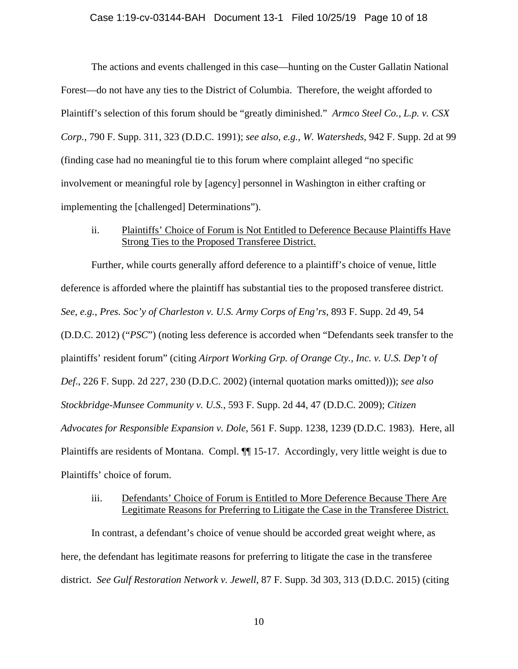#### Case 1:19-cv-03144-BAH Document 13-1 Filed 10/25/19 Page 10 of 18

The actions and events challenged in this case—hunting on the Custer Gallatin National Forest—do not have any ties to the District of Columbia. Therefore, the weight afforded to Plaintiff's selection of this forum should be "greatly diminished." *Armco Steel Co., L.p. v. CSX Corp.*, 790 F. Supp. 311, 323 (D.D.C. 1991); *see also, e.g.*, *W. Watersheds*, 942 F. Supp. 2d at 99 (finding case had no meaningful tie to this forum where complaint alleged "no specific involvement or meaningful role by [agency] personnel in Washington in either crafting or implementing the [challenged] Determinations").

ii. Plaintiffs' Choice of Forum is Not Entitled to Deference Because Plaintiffs Have Strong Ties to the Proposed Transferee District.

Further, while courts generally afford deference to a plaintiff's choice of venue, little deference is afforded where the plaintiff has substantial ties to the proposed transferee district. *See, e.g.*, *Pres. Soc'y of Charleston v. U.S. Army Corps of Eng'rs*, 893 F. Supp. 2d 49, 54 (D.D.C. 2012) ("*PSC*") (noting less deference is accorded when "Defendants seek transfer to the plaintiffs' resident forum" (citing *Airport Working Grp. of Orange Cty., Inc. v. U.S. Dep't of Def*., 226 F. Supp. 2d 227, 230 (D.D.C. 2002) (internal quotation marks omitted))); *see also Stockbridge-Munsee Community v. U.S.*, 593 F. Supp. 2d 44, 47 (D.D.C. 2009); *Citizen Advocates for Responsible Expansion v. Dole*, 561 F. Supp. 1238, 1239 (D.D.C. 1983). Here, all Plaintiffs are residents of Montana. Compl. ¶¶ 15-17. Accordingly, very little weight is due to Plaintiffs' choice of forum.

## iii. Defendants' Choice of Forum is Entitled to More Deference Because There Are Legitimate Reasons for Preferring to Litigate the Case in the Transferee District.

In contrast, a defendant's choice of venue should be accorded great weight where, as here, the defendant has legitimate reasons for preferring to litigate the case in the transferee district. *See Gulf Restoration Network v. Jewell*, 87 F. Supp. 3d 303, 313 (D.D.C. 2015) (citing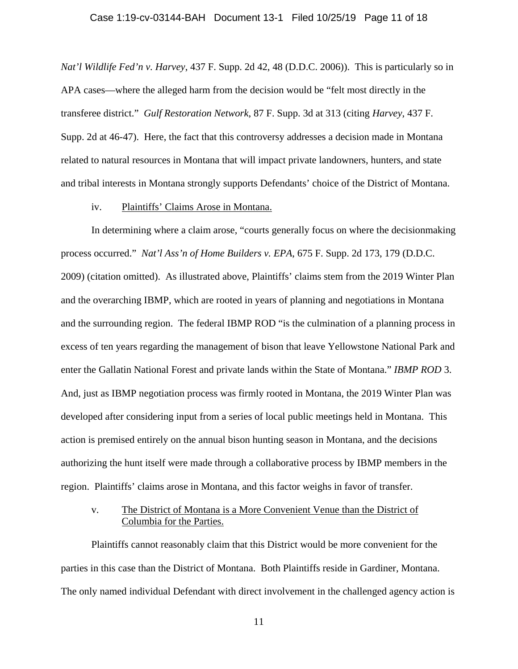#### Case 1:19-cv-03144-BAH Document 13-1 Filed 10/25/19 Page 11 of 18

*Nat'l Wildlife Fed'n v. Harvey*, 437 F. Supp. 2d 42, 48 (D.D.C. 2006)). This is particularly so in APA cases—where the alleged harm from the decision would be "felt most directly in the transferee district." *Gulf Restoration Network*, 87 F. Supp. 3d at 313 (citing *Harvey*, 437 F. Supp. 2d at 46*-*47). Here, the fact that this controversy addresses a decision made in Montana related to natural resources in Montana that will impact private landowners, hunters, and state and tribal interests in Montana strongly supports Defendants' choice of the District of Montana.

### iv. Plaintiffs' Claims Arose in Montana.

In determining where a claim arose, "courts generally focus on where the decisionmaking process occurred." *Nat'l Ass'n of Home Builders v. EPA*, 675 F. Supp. 2d 173, 179 (D.D.C. 2009) (citation omitted). As illustrated above, Plaintiffs' claims stem from the 2019 Winter Plan and the overarching IBMP, which are rooted in years of planning and negotiations in Montana and the surrounding region. The federal IBMP ROD "is the culmination of a planning process in excess of ten years regarding the management of bison that leave Yellowstone National Park and enter the Gallatin National Forest and private lands within the State of Montana." *IBMP ROD* 3. And, just as IBMP negotiation process was firmly rooted in Montana, the 2019 Winter Plan was developed after considering input from a series of local public meetings held in Montana. This action is premised entirely on the annual bison hunting season in Montana, and the decisions authorizing the hunt itself were made through a collaborative process by IBMP members in the region. Plaintiffs' claims arose in Montana, and this factor weighs in favor of transfer.

## v. The District of Montana is a More Convenient Venue than the District of Columbia for the Parties.

Plaintiffs cannot reasonably claim that this District would be more convenient for the parties in this case than the District of Montana. Both Plaintiffs reside in Gardiner, Montana. The only named individual Defendant with direct involvement in the challenged agency action is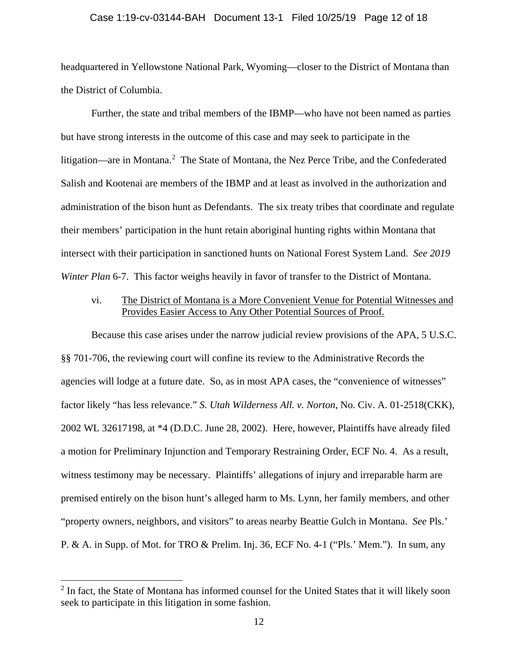#### Case 1:19-cv-03144-BAH Document 13-1 Filed 10/25/19 Page 12 of 18

headquartered in Yellowstone National Park, Wyoming—closer to the District of Montana than the District of Columbia.

Further, the state and tribal members of the IBMP—who have not been named as parties but have strong interests in the outcome of this case and may seek to participate in the litigation—are in Montana.<sup>[2](#page-11-0)</sup> The State of Montana, the Nez Perce Tribe, and the Confederated Salish and Kootenai are members of the IBMP and at least as involved in the authorization and administration of the bison hunt as Defendants. The six treaty tribes that coordinate and regulate their members' participation in the hunt retain aboriginal hunting rights within Montana that intersect with their participation in sanctioned hunts on National Forest System Land. *See 2019 Winter Plan* 6-7. This factor weighs heavily in favor of transfer to the District of Montana.

## vi. The District of Montana is a More Convenient Venue for Potential Witnesses and Provides Easier Access to Any Other Potential Sources of Proof.

Because this case arises under the narrow judicial review provisions of the APA, 5 U.S.C. §§ 701-706, the reviewing court will confine its review to the Administrative Records the agencies will lodge at a future date. So, as in most APA cases, the "convenience of witnesses" factor likely "has less relevance." *S. Utah Wilderness All. v. Norton*, No. Civ. A. 01-2518(CKK), 2002 WL 32617198, at \*4 (D.D.C. June 28, 2002). Here, however, Plaintiffs have already filed a motion for Preliminary Injunction and Temporary Restraining Order, ECF No. 4. As a result, witness testimony may be necessary. Plaintiffs' allegations of injury and irreparable harm are premised entirely on the bison hunt's alleged harm to Ms. Lynn, her family members, and other "property owners, neighbors, and visitors" to areas nearby Beattie Gulch in Montana. *See* Pls.' P. & A. in Supp. of Mot. for TRO & Prelim. Inj. 36, ECF No. 4-1 ("Pls.' Mem."). In sum, any

 $\overline{\phantom{a}}$ 

<span id="page-11-0"></span><sup>&</sup>lt;sup>2</sup> In fact, the State of Montana has informed counsel for the United States that it will likely soon seek to participate in this litigation in some fashion.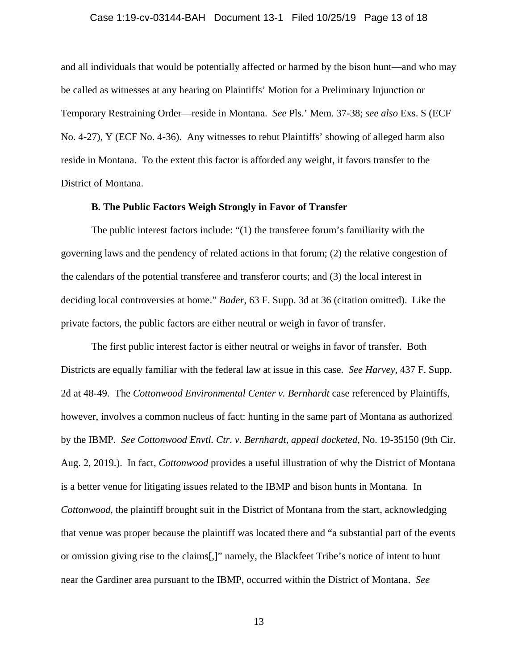#### Case 1:19-cv-03144-BAH Document 13-1 Filed 10/25/19 Page 13 of 18

and all individuals that would be potentially affected or harmed by the bison hunt—and who may be called as witnesses at any hearing on Plaintiffs' Motion for a Preliminary Injunction or Temporary Restraining Order—reside in Montana. *See* Pls.' Mem. 37-38; *see also* Exs. S (ECF No. 4-27), Y (ECF No. 4-36). Any witnesses to rebut Plaintiffs' showing of alleged harm also reside in Montana. To the extent this factor is afforded any weight, it favors transfer to the District of Montana.

### **B. The Public Factors Weigh Strongly in Favor of Transfer**

The public interest factors include: "(1) the transferee forum's familiarity with the governing laws and the pendency of related actions in that forum; (2) the relative congestion of the calendars of the potential transferee and transferor courts; and (3) the local interest in deciding local controversies at home." *Bader*, 63 F. Supp. 3d at 36 (citation omitted). Like the private factors, the public factors are either neutral or weigh in favor of transfer.

The first public interest factor is either neutral or weighs in favor of transfer. Both Districts are equally familiar with the federal law at issue in this case. *See Harvey*, 437 F. Supp. 2d at 48-49. The *Cottonwood Environmental Center v. Bernhardt* case referenced by Plaintiffs, however, involves a common nucleus of fact: hunting in the same part of Montana as authorized by the IBMP. *See Cottonwood Envtl. Ctr. v. Bernhardt*, *appeal docketed*, No. 19-35150 (9th Cir. Aug. 2, 2019.). In fact, *Cottonwood* provides a useful illustration of why the District of Montana is a better venue for litigating issues related to the IBMP and bison hunts in Montana. In *Cottonwood*, the plaintiff brought suit in the District of Montana from the start, acknowledging that venue was proper because the plaintiff was located there and "a substantial part of the events or omission giving rise to the claims[,]" namely, the Blackfeet Tribe's notice of intent to hunt near the Gardiner area pursuant to the IBMP, occurred within the District of Montana. *See*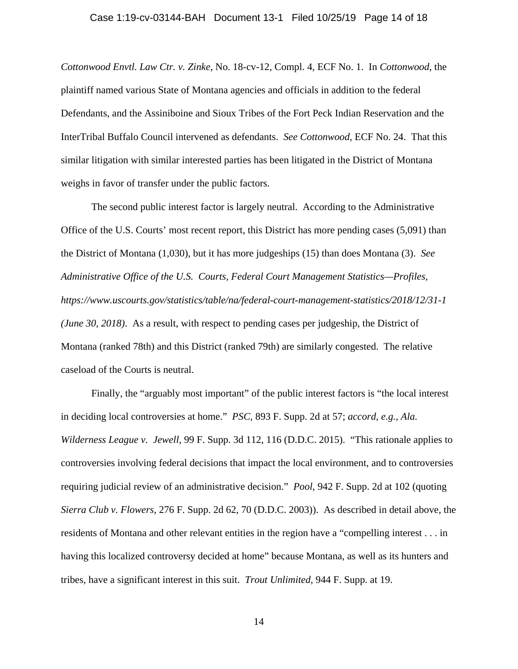*Cottonwood Envtl. Law Ctr. v. Zinke*, No. 18-cv-12, Compl. 4, ECF No. 1. In *Cottonwood*, the plaintiff named various State of Montana agencies and officials in addition to the federal Defendants, and the Assiniboine and Sioux Tribes of the Fort Peck Indian Reservation and the InterTribal Buffalo Council intervened as defendants. *See Cottonwood*, ECF No. 24. That this similar litigation with similar interested parties has been litigated in the District of Montana weighs in favor of transfer under the public factors.

The second public interest factor is largely neutral. According to the Administrative Office of the U.S. Courts' most recent report, this District has more pending cases (5,091) than the District of Montana (1,030), but it has more judgeships (15) than does Montana (3). *See Administrative Office of the U.S. Courts, Federal Court Management Statistics—Profiles, https://www.uscourts.gov/statistics/table/na/federal-court-management-statistics/2018/12/31-1 (June 30, 2018)*. As a result, with respect to pending cases per judgeship, the District of Montana (ranked 78th) and this District (ranked 79th) are similarly congested. The relative caseload of the Courts is neutral.

Finally, the "arguably most important" of the public interest factors is "the local interest in deciding local controversies at home." *PSC*, 893 F. Supp. 2d at 57; *accord, e.g.*, *Ala. Wilderness League v. Jewell*, 99 F. Supp. 3d 112, 116 (D.D.C. 2015). "This rationale applies to controversies involving federal decisions that impact the local environment, and to controversies requiring judicial review of an administrative decision." *Pool*, 942 F. Supp. 2d at 102 (quoting *Sierra Club v. Flowers*, 276 F. Supp. 2d 62, 70 (D.D.C. 2003)). As described in detail above, the residents of Montana and other relevant entities in the region have a "compelling interest . . . in having this localized controversy decided at home" because Montana, as well as its hunters and tribes, have a significant interest in this suit. *Trout Unlimited*, 944 F. Supp. at 19.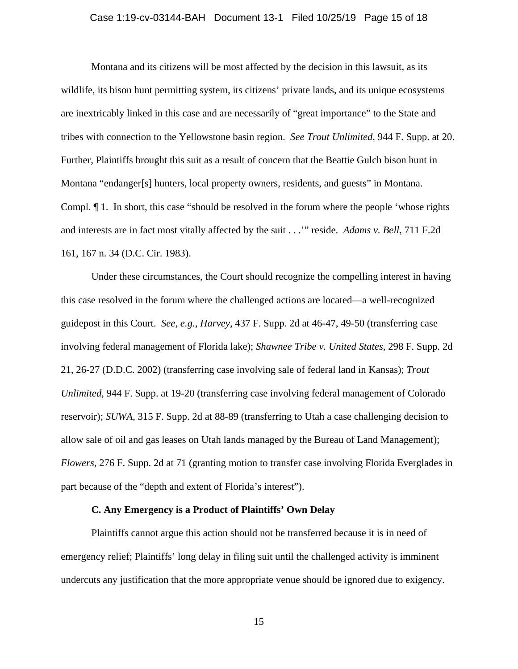#### Case 1:19-cv-03144-BAH Document 13-1 Filed 10/25/19 Page 15 of 18

Montana and its citizens will be most affected by the decision in this lawsuit, as its wildlife, its bison hunt permitting system, its citizens' private lands, and its unique ecosystems are inextricably linked in this case and are necessarily of "great importance" to the State and tribes with connection to the Yellowstone basin region. *See Trout Unlimited*, 944 F. Supp. at 20. Further, Plaintiffs brought this suit as a result of concern that the Beattie Gulch bison hunt in Montana "endanger[s] hunters, local property owners, residents, and guests" in Montana. Compl. ¶ 1. In short, this case "should be resolved in the forum where the people 'whose rights and interests are in fact most vitally affected by the suit . . .'" reside. *Adams v. Bell*, 711 F.2d 161, 167 n. 34 (D.C. Cir. 1983).

Under these circumstances, the Court should recognize the compelling interest in having this case resolved in the forum where the challenged actions are located—a well-recognized guidepost in this Court. *See, e.g.*, *Harvey*, 437 F. Supp. 2d at 46-47, 49-50 (transferring case involving federal management of Florida lake); *Shawnee Tribe v. United States*, 298 F. Supp. 2d 21, 26-27 (D.D.C. 2002) (transferring case involving sale of federal land in Kansas); *Trout Unlimited*, 944 F. Supp. at 19-20 (transferring case involving federal management of Colorado reservoir); *SUWA*, 315 F. Supp. 2d at 88-89 (transferring to Utah a case challenging decision to allow sale of oil and gas leases on Utah lands managed by the Bureau of Land Management); *Flowers*, 276 F. Supp. 2d at 71 (granting motion to transfer case involving Florida Everglades in part because of the "depth and extent of Florida's interest").

### **C. Any Emergency is a Product of Plaintiffs' Own Delay**

Plaintiffs cannot argue this action should not be transferred because it is in need of emergency relief; Plaintiffs' long delay in filing suit until the challenged activity is imminent undercuts any justification that the more appropriate venue should be ignored due to exigency.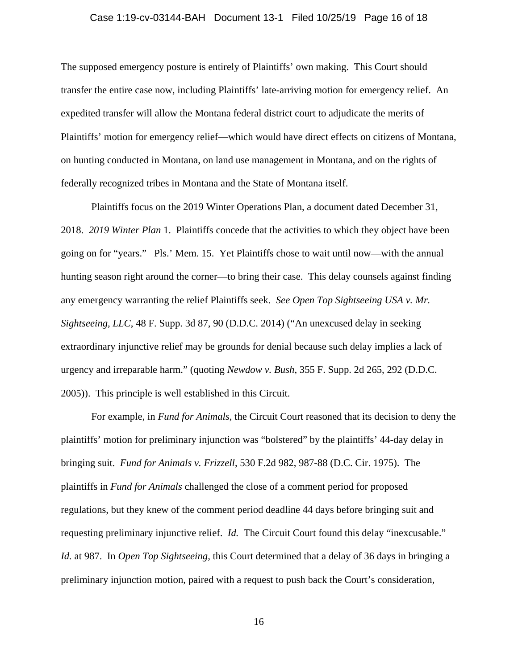#### Case 1:19-cv-03144-BAH Document 13-1 Filed 10/25/19 Page 16 of 18

The supposed emergency posture is entirely of Plaintiffs' own making. This Court should transfer the entire case now, including Plaintiffs' late-arriving motion for emergency relief. An expedited transfer will allow the Montana federal district court to adjudicate the merits of Plaintiffs' motion for emergency relief—which would have direct effects on citizens of Montana, on hunting conducted in Montana, on land use management in Montana, and on the rights of federally recognized tribes in Montana and the State of Montana itself.

Plaintiffs focus on the 2019 Winter Operations Plan, a document dated December 31, 2018. *2019 Winter Plan* 1. Plaintiffs concede that the activities to which they object have been going on for "years." Pls.' Mem. 15. Yet Plaintiffs chose to wait until now—with the annual hunting season right around the corner—to bring their case. This delay counsels against finding any emergency warranting the relief Plaintiffs seek. *See Open Top Sightseeing USA v. Mr. Sightseeing, LLC*, 48 F. Supp. 3d 87, 90 (D.D.C. 2014) ("An unexcused delay in seeking extraordinary injunctive relief may be grounds for denial because such delay implies a lack of urgency and irreparable harm." (quoting *Newdow v. Bush*, 355 F. Supp. 2d 265, 292 (D.D.C. 2005)). This principle is well established in this Circuit.

For example, in *Fund for Animals*, the Circuit Court reasoned that its decision to deny the plaintiffs' motion for preliminary injunction was "bolstered" by the plaintiffs' 44-day delay in bringing suit. *Fund for Animals v. Frizzell*, 530 F.2d 982, 987-88 (D.C. Cir. 1975). The plaintiffs in *Fund for Animals* challenged the close of a comment period for proposed regulations, but they knew of the comment period deadline 44 days before bringing suit and requesting preliminary injunctive relief. *Id.* The Circuit Court found this delay "inexcusable." *Id.* at 987. In *Open Top Sightseeing*, this Court determined that a delay of 36 days in bringing a preliminary injunction motion, paired with a request to push back the Court's consideration,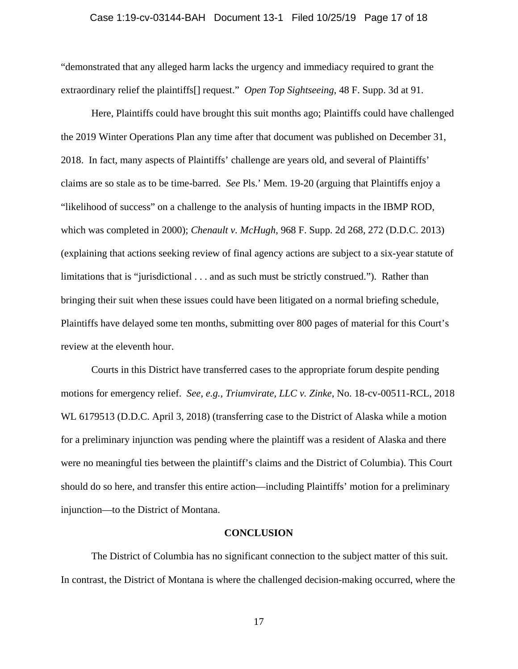#### Case 1:19-cv-03144-BAH Document 13-1 Filed 10/25/19 Page 17 of 18

"demonstrated that any alleged harm lacks the urgency and immediacy required to grant the extraordinary relief the plaintiffs[] request." *Open Top Sightseeing*, 48 F. Supp. 3d at 91.

Here, Plaintiffs could have brought this suit months ago; Plaintiffs could have challenged the 2019 Winter Operations Plan any time after that document was published on December 31, 2018. In fact, many aspects of Plaintiffs' challenge are years old, and several of Plaintiffs' claims are so stale as to be time-barred. *See* Pls.' Mem. 19-20 (arguing that Plaintiffs enjoy a "likelihood of success" on a challenge to the analysis of hunting impacts in the IBMP ROD, which was completed in 2000); *Chenault v. McHugh*, 968 F. Supp. 2d 268, 272 (D.D.C. 2013) (explaining that actions seeking review of final agency actions are subject to a six-year statute of limitations that is "jurisdictional . . . and as such must be strictly construed."). Rather than bringing their suit when these issues could have been litigated on a normal briefing schedule, Plaintiffs have delayed some ten months, submitting over 800 pages of material for this Court's review at the eleventh hour.

Courts in this District have transferred cases to the appropriate forum despite pending motions for emergency relief. *See, e.g.*, *Triumvirate, LLC v. Zinke*, No. 18-cv-00511-RCL, 2018 WL 6179513 (D.D.C. April 3, 2018) (transferring case to the District of Alaska while a motion for a preliminary injunction was pending where the plaintiff was a resident of Alaska and there were no meaningful ties between the plaintiff's claims and the District of Columbia). This Court should do so here, and transfer this entire action—including Plaintiffs' motion for a preliminary injunction—to the District of Montana.

#### **CONCLUSION**

The District of Columbia has no significant connection to the subject matter of this suit. In contrast, the District of Montana is where the challenged decision-making occurred, where the